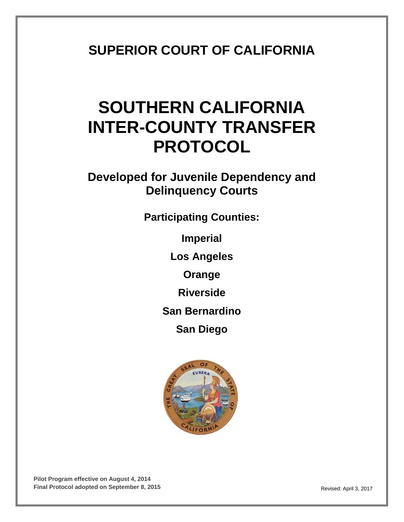# **SUPERIOR COURT OF CALIFORNIA**

# **SOUTHERN CALIFORNIA INTER-COUNTY TRANSFER PROTOCOL**

**Developed for Juvenile Dependency and Delinquency Courts**

**Participating Counties:**

**Imperial**

**Los Angeles**

**Orange**

**Riverside**

**San Bernardino**

**San Diego**

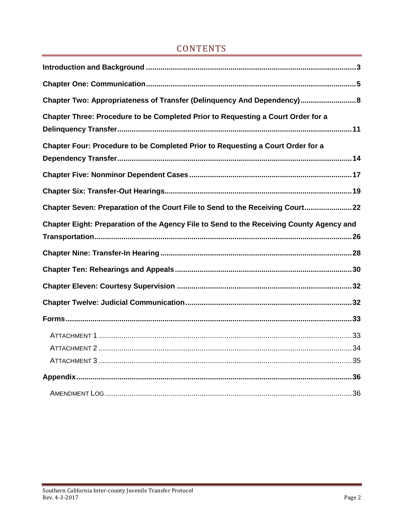#### CONTENTS

| Chapter Two: Appropriateness of Transfer (Delinquency And Dependency) 8                  |
|------------------------------------------------------------------------------------------|
| Chapter Three: Procedure to be Completed Prior to Requesting a Court Order for a         |
| Chapter Four: Procedure to be Completed Prior to Requesting a Court Order for a          |
|                                                                                          |
|                                                                                          |
| Chapter Seven: Preparation of the Court File to Send to the Receiving Court22            |
| Chapter Eight: Preparation of the Agency File to Send to the Receiving County Agency and |
|                                                                                          |
|                                                                                          |
|                                                                                          |
|                                                                                          |
|                                                                                          |
|                                                                                          |
|                                                                                          |
|                                                                                          |
|                                                                                          |
|                                                                                          |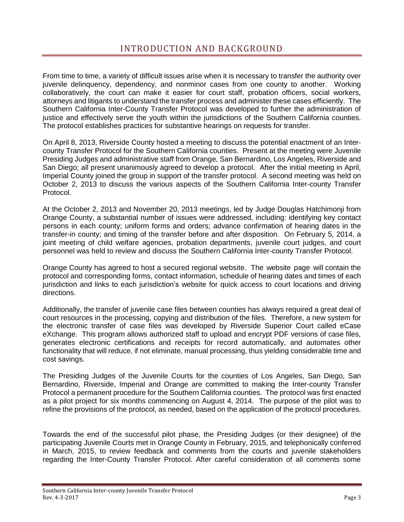<span id="page-2-0"></span>From time to time, a variety of difficult issues arise when it is necessary to transfer the authority over juvenile delinquency, dependency, and nonminor cases from one county to another. Working collaboratively, the court can make it easier for court staff, probation officers, social workers, attorneys and litigants to understand the transfer process and administer these cases efficiently. The Southern California Inter-County Transfer Protocol was developed to further the administration of justice and effectively serve the youth within the jurisdictions of the Southern California counties. The protocol establishes practices for substantive hearings on requests for transfer.

On April 8, 2013, Riverside County hosted a meeting to discuss the potential enactment of an Intercounty Transfer Protocol for the Southern California counties. Present at the meeting were Juvenile Presiding Judges and administrative staff from Orange, San Bernardino, Los Angeles, Riverside and San Diego; all present unanimously agreed to develop a protocol. After the initial meeting in April, Imperial County joined the group in support of the transfer protocol. A second meeting was held on October 2, 2013 to discuss the various aspects of the Southern California Inter-county Transfer Protocol.

At the October 2, 2013 and November 20, 2013 meetings, led by Judge Douglas Hatchimonji from Orange County, a substantial number of issues were addressed, including: identifying key contact persons in each county; uniform forms and orders; advance confirmation of hearing dates in the transfer-in county; and timing of the transfer before and after disposition. On February 5, 2014, a joint meeting of child welfare agencies, probation departments, juvenile court judges, and court personnel was held to review and discuss the Southern California Inter-county Transfer Protocol.

Orange County has agreed to host a secured regional website. The website page will contain the protocol and corresponding forms, contact information, schedule of hearing dates and times of each jurisdiction and links to each jurisdiction's website for quick access to court locations and driving directions.

Additionally, the transfer of juvenile case files between counties has always required a great deal of court resources in the processing, copying and distribution of the files. Therefore, a new system for the electronic transfer of case files was developed by Riverside Superior Court called eCase eXchange. This program allows authorized staff to upload and encrypt PDF versions of case files, generates electronic certifications and receipts for record automatically, and automates other functionality that will reduce, if not eliminate, manual processing, thus yielding considerable time and cost savings.

The Presiding Judges of the Juvenile Courts for the counties of Los Angeles, San Diego, San Bernardino, Riverside, Imperial and Orange are committed to making the Inter-county Transfer Protocol a permanent procedure for the Southern California counties. The protocol was first enacted as a pilot project for six months commencing on August 4, 2014. The purpose of the pilot was to refine the provisions of the protocol, as needed, based on the application of the protocol procedures.

Towards the end of the successful pilot phase, the Presiding Judges (or their designee) of the participating Juvenile Courts met in Orange County in February, 2015, and telephonically conferred in March, 2015, to review feedback and comments from the courts and juvenile stakeholders regarding the Inter-County Transfer Protocol. After careful consideration of all comments some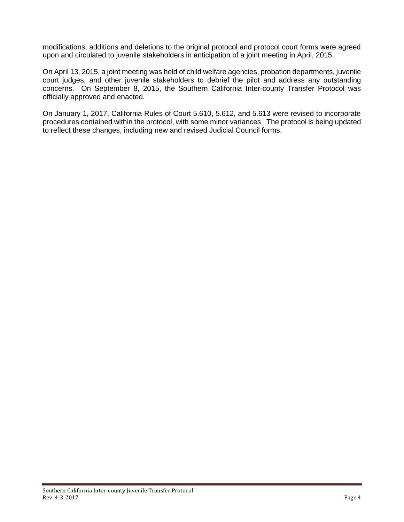modifications, additions and deletions to the original protocol and protocol court forms were agreed upon and circulated to juvenile stakeholders in anticipation of a joint meeting in April, 2015.

On April 13, 2015, a joint meeting was held of child welfare agencies, probation departments, juvenile court judges, and other juvenile stakeholders to debrief the pilot and address any outstanding concerns. On September 8, 2015, the Southern California Inter-county Transfer Protocol was officially approved and enacted.

On January 1, 2017, California Rules of Court 5.610, 5.612, and 5.613 were revised to incorporate procedures contained within the protocol, with some minor variances. The protocol is being updated to reflect these changes, including new and revised Judicial Council forms.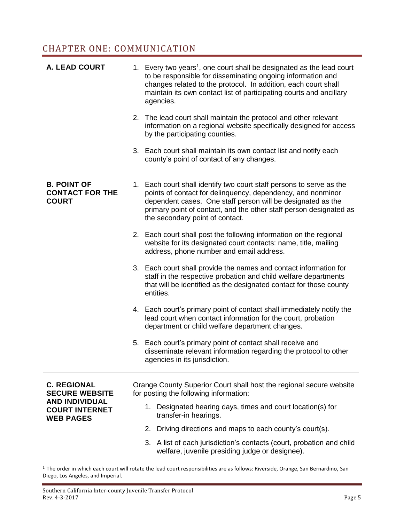#### <span id="page-4-0"></span>CHAPTER ONE: COMMUNICATION

| <b>A. LEAD COURT</b>                                                                          | 1. Every two years <sup>1</sup> , one court shall be designated as the lead court<br>to be responsible for disseminating ongoing information and<br>changes related to the protocol. In addition, each court shall<br>maintain its own contact list of participating courts and ancillary<br>agencies.<br>2. The lead court shall maintain the protocol and other relevant<br>information on a regional website specifically designed for access<br>by the participating counties.<br>3. Each court shall maintain its own contact list and notify each<br>county's point of contact of any changes. |
|-----------------------------------------------------------------------------------------------|------------------------------------------------------------------------------------------------------------------------------------------------------------------------------------------------------------------------------------------------------------------------------------------------------------------------------------------------------------------------------------------------------------------------------------------------------------------------------------------------------------------------------------------------------------------------------------------------------|
| <b>B. POINT OF</b><br><b>CONTACT FOR THE</b><br><b>COURT</b>                                  | 1. Each court shall identify two court staff persons to serve as the<br>points of contact for delinquency, dependency, and nonminor<br>dependent cases. One staff person will be designated as the<br>primary point of contact, and the other staff person designated as<br>the secondary point of contact.                                                                                                                                                                                                                                                                                          |
|                                                                                               | 2. Each court shall post the following information on the regional<br>website for its designated court contacts: name, title, mailing<br>address, phone number and email address.                                                                                                                                                                                                                                                                                                                                                                                                                    |
|                                                                                               | 3. Each court shall provide the names and contact information for<br>staff in the respective probation and child welfare departments<br>that will be identified as the designated contact for those county<br>entities.                                                                                                                                                                                                                                                                                                                                                                              |
|                                                                                               | 4. Each court's primary point of contact shall immediately notify the<br>lead court when contact information for the court, probation<br>department or child welfare department changes.                                                                                                                                                                                                                                                                                                                                                                                                             |
|                                                                                               | 5. Each court's primary point of contact shall receive and<br>disseminate relevant information regarding the protocol to other<br>agencies in its jurisdiction.                                                                                                                                                                                                                                                                                                                                                                                                                                      |
| <b>C. REGIONAL</b><br><b>SECURE WEBSITE</b><br><b>AND INDIVIDUAL</b><br><b>COURT INTERNET</b> | Orange County Superior Court shall host the regional secure website<br>for posting the following information:<br>1. Designated hearing days, times and court location(s) for                                                                                                                                                                                                                                                                                                                                                                                                                         |
| <b>WEB PAGES</b>                                                                              | transfer-in hearings.                                                                                                                                                                                                                                                                                                                                                                                                                                                                                                                                                                                |
|                                                                                               | Driving directions and maps to each county's court(s).<br>2.<br>3. A list of each jurisdiction's contacts (court, probation and child                                                                                                                                                                                                                                                                                                                                                                                                                                                                |
|                                                                                               | welfare, juvenile presiding judge or designee).                                                                                                                                                                                                                                                                                                                                                                                                                                                                                                                                                      |

 $1$  The order in which each court will rotate the lead court responsibilities are as follows: Riverside, Orange, San Bernardino, San Diego, Los Angeles, and Imperial.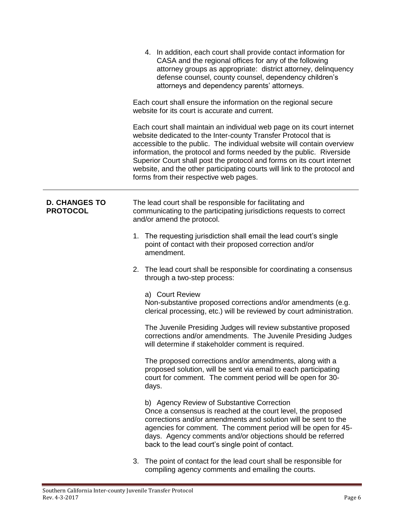|                                         | 4. In addition, each court shall provide contact information for<br>CASA and the regional offices for any of the following<br>attorney groups as appropriate: district attorney, delinquency<br>defense counsel, county counsel, dependency children's<br>attorneys and dependency parents' attorneys.                                                                                                                                                                                      |
|-----------------------------------------|---------------------------------------------------------------------------------------------------------------------------------------------------------------------------------------------------------------------------------------------------------------------------------------------------------------------------------------------------------------------------------------------------------------------------------------------------------------------------------------------|
|                                         | Each court shall ensure the information on the regional secure<br>website for its court is accurate and current.                                                                                                                                                                                                                                                                                                                                                                            |
|                                         | Each court shall maintain an individual web page on its court internet<br>website dedicated to the Inter-county Transfer Protocol that is<br>accessible to the public. The individual website will contain overview<br>information, the protocol and forms needed by the public. Riverside<br>Superior Court shall post the protocol and forms on its court internet<br>website, and the other participating courts will link to the protocol and<br>forms from their respective web pages. |
| <b>D. CHANGES TO</b><br><b>PROTOCOL</b> | The lead court shall be responsible for facilitating and<br>communicating to the participating jurisdictions requests to correct<br>and/or amend the protocol.                                                                                                                                                                                                                                                                                                                              |
|                                         | 1. The requesting jurisdiction shall email the lead court's single<br>point of contact with their proposed correction and/or<br>amendment.                                                                                                                                                                                                                                                                                                                                                  |
|                                         | 2. The lead court shall be responsible for coordinating a consensus<br>through a two-step process:                                                                                                                                                                                                                                                                                                                                                                                          |
|                                         | a) Court Review<br>Non-substantive proposed corrections and/or amendments (e.g.<br>clerical processing, etc.) will be reviewed by court administration.                                                                                                                                                                                                                                                                                                                                     |
|                                         | The Juvenile Presiding Judges will review substantive proposed<br>corrections and/or amendments. The Juvenile Presiding Judges<br>will determine if stakeholder comment is required.                                                                                                                                                                                                                                                                                                        |
|                                         | The proposed corrections and/or amendments, along with a<br>proposed solution, will be sent via email to each participating<br>court for comment. The comment period will be open for 30-<br>days.                                                                                                                                                                                                                                                                                          |
|                                         | b) Agency Review of Substantive Correction<br>Once a consensus is reached at the court level, the proposed<br>corrections and/or amendments and solution will be sent to the<br>agencies for comment. The comment period will be open for 45-<br>days. Agency comments and/or objections should be referred<br>back to the lead court's single point of contact.                                                                                                                            |
|                                         | 3. The point of contact for the lead court shall be responsible for<br>compiling agency comments and emailing the courts.                                                                                                                                                                                                                                                                                                                                                                   |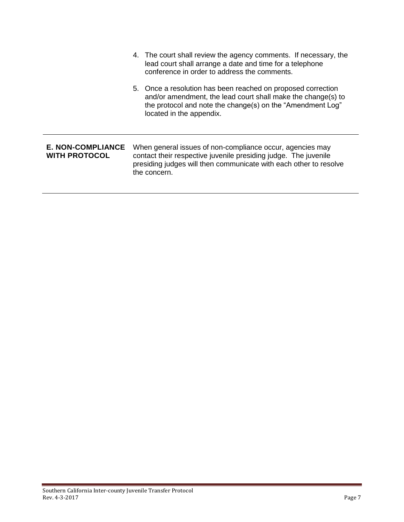|                                           | 4. The court shall review the agency comments. If necessary, the<br>lead court shall arrange a date and time for a telephone<br>conference in order to address the comments.                                           |
|-------------------------------------------|------------------------------------------------------------------------------------------------------------------------------------------------------------------------------------------------------------------------|
|                                           | 5. Once a resolution has been reached on proposed correction<br>and/or amendment, the lead court shall make the change(s) to<br>the protocol and note the change(s) on the "Amendment Log"<br>located in the appendix. |
| E. NON-COMPLIANCE<br><b>WITH PROTOCOL</b> | When general issues of non-compliance occur, agencies may<br>contact their respective juvenile presiding judge. The juvenile<br>presiding judges will then communicate with each other to resolve<br>the concern.      |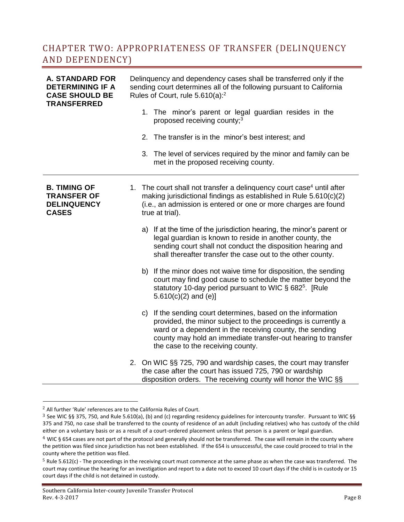#### <span id="page-7-0"></span>CHAPTER TWO: APPROPRIATENESS OF TRANSFER (DELINQUENCY AND DEPENDENCY)

| <b>A. STANDARD FOR</b><br><b>DETERMINING IF A</b><br><b>CASE SHOULD BE</b><br><b>TRANSFERRED</b> | Delinquency and dependency cases shall be transferred only if the<br>sending court determines all of the following pursuant to California<br>Rules of Court, rule 5.610(a): <sup>2</sup> |                                                                                                                                                                                                                                                                                                 |  |  |
|--------------------------------------------------------------------------------------------------|------------------------------------------------------------------------------------------------------------------------------------------------------------------------------------------|-------------------------------------------------------------------------------------------------------------------------------------------------------------------------------------------------------------------------------------------------------------------------------------------------|--|--|
|                                                                                                  |                                                                                                                                                                                          | 1. The minor's parent or legal guardian resides in the<br>proposed receiving county; <sup>3</sup>                                                                                                                                                                                               |  |  |
|                                                                                                  |                                                                                                                                                                                          | The transfer is in the minor's best interest; and<br>2.                                                                                                                                                                                                                                         |  |  |
|                                                                                                  |                                                                                                                                                                                          | The level of services required by the minor and family can be<br>3.<br>met in the proposed receiving county.                                                                                                                                                                                    |  |  |
| <b>B. TIMING OF</b><br><b>TRANSFER OF</b><br><b>DELINQUENCY</b><br><b>CASES</b>                  |                                                                                                                                                                                          | 1. The court shall not transfer a delinquency court case <sup>4</sup> until after<br>making jurisdictional findings as established in Rule 5.610(c)(2)<br>(i.e., an admission is entered or one or more charges are found<br>true at trial).                                                    |  |  |
|                                                                                                  |                                                                                                                                                                                          | If at the time of the jurisdiction hearing, the minor's parent or<br>a)<br>legal guardian is known to reside in another county, the<br>sending court shall not conduct the disposition hearing and<br>shall thereafter transfer the case out to the other county.                               |  |  |
|                                                                                                  |                                                                                                                                                                                          | If the minor does not waive time for disposition, the sending<br>b)<br>court may find good cause to schedule the matter beyond the<br>statutory 10-day period pursuant to WIC $\S$ 682 <sup>5</sup> . [Rule<br>$5.610(c)(2)$ and (e)]                                                           |  |  |
|                                                                                                  |                                                                                                                                                                                          | c) If the sending court determines, based on the information<br>provided, the minor subject to the proceedings is currently a<br>ward or a dependent in the receiving county, the sending<br>county may hold an immediate transfer-out hearing to transfer<br>the case to the receiving county. |  |  |
|                                                                                                  |                                                                                                                                                                                          | 2. On WIC §§ 725, 790 and wardship cases, the court may transfer<br>the case after the court has issued 725, 790 or wardship<br>disposition orders. The receiving county will honor the WIC §§                                                                                                  |  |  |

 $\overline{a}$ 

<sup>2</sup> All further 'Rule' references are to the California Rules of Court.

<sup>3</sup> See WIC §§ 375, 750, and Rule 5.610(a), (b) and (c) regarding residency guidelines for intercounty transfer. Pursuant to WIC §§ 375 and 750, no case shall be transferred to the county of residence of an adult (including relatives) who has custody of the child either on a voluntary basis or as a result of a court-ordered placement unless that person is a parent or legal guardian.

 $4$  WIC § 654 cases are not part of the protocol and generally should not be transferred. The case will remain in the county where the petition was filed since jurisdiction has not been established. If the 654 is unsuccessful, the case could proceed to trial in the county where the petition was filed.

 $5$  Rule 5.612(c) - The proceedings in the receiving court must commence at the same phase as when the case was transferred. The court may continue the hearing for an investigation and report to a date not to exceed 10 court days if the child is in custody or 15 court days if the child is not detained in custody.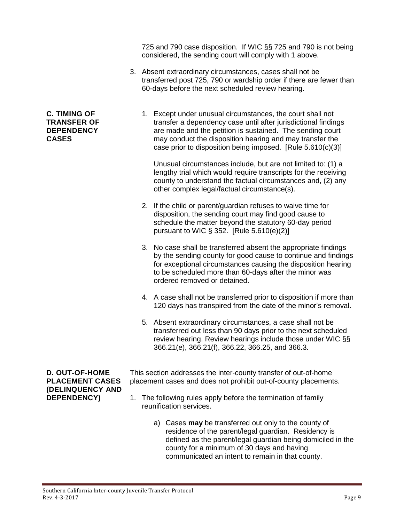|                                                                                |    | 725 and 790 case disposition. If WIC §§ 725 and 790 is not being<br>considered, the sending court will comply with 1 above.                                                                                                                                                                                                                                                                                                                             |
|--------------------------------------------------------------------------------|----|---------------------------------------------------------------------------------------------------------------------------------------------------------------------------------------------------------------------------------------------------------------------------------------------------------------------------------------------------------------------------------------------------------------------------------------------------------|
|                                                                                |    | 3. Absent extraordinary circumstances, cases shall not be<br>transferred post 725, 790 or wardship order if there are fewer than<br>60-days before the next scheduled review hearing.                                                                                                                                                                                                                                                                   |
| <b>C. TIMING OF</b><br><b>TRANSFER OF</b><br><b>DEPENDENCY</b><br><b>CASES</b> |    | 1. Except under unusual circumstances, the court shall not<br>transfer a dependency case until after jurisdictional findings<br>are made and the petition is sustained. The sending court<br>may conduct the disposition hearing and may transfer the<br>case prior to disposition being imposed. [Rule 5.610(c)(3)]<br>Unusual circumstances include, but are not limited to: (1) a<br>lengthy trial which would require transcripts for the receiving |
|                                                                                |    | county to understand the factual circumstances and, (2) any<br>other complex legal/factual circumstance(s).                                                                                                                                                                                                                                                                                                                                             |
|                                                                                |    | 2. If the child or parent/guardian refuses to waive time for<br>disposition, the sending court may find good cause to<br>schedule the matter beyond the statutory 60-day period<br>pursuant to WIC $\S 352$ . [Rule $5.610(e)(2)$ ]                                                                                                                                                                                                                     |
|                                                                                |    | 3. No case shall be transferred absent the appropriate findings<br>by the sending county for good cause to continue and findings<br>for exceptional circumstances causing the disposition hearing<br>to be scheduled more than 60-days after the minor was<br>ordered removed or detained.                                                                                                                                                              |
|                                                                                |    | 4. A case shall not be transferred prior to disposition if more than<br>120 days has transpired from the date of the minor's removal.                                                                                                                                                                                                                                                                                                                   |
|                                                                                |    | 5. Absent extraordinary circumstances, a case shall not be<br>transferred out less than 90 days prior to the next scheduled<br>review hearing. Review hearings include those under WIC §§<br>366.21(e), 366.21(f), 366.22, 366.25, and 366.3.                                                                                                                                                                                                           |
| <b>D. OUT-OF-HOME</b><br><b>PLACEMENT CASES</b>                                |    | This section addresses the inter-county transfer of out-of-home<br>placement cases and does not prohibit out-of-county placements.                                                                                                                                                                                                                                                                                                                      |
| (DELINQUENCY AND<br>DEPENDENCY)                                                | 1. | The following rules apply before the termination of family<br>reunification services.                                                                                                                                                                                                                                                                                                                                                                   |
|                                                                                |    | a) Cases may be transferred out only to the county of<br>residence of the parent/legal guardian. Residency is<br>defined as the parent/legal guardian being domiciled in the<br>county for a minimum of 30 days and having<br>communicated an intent to remain in that county.                                                                                                                                                                          |

÷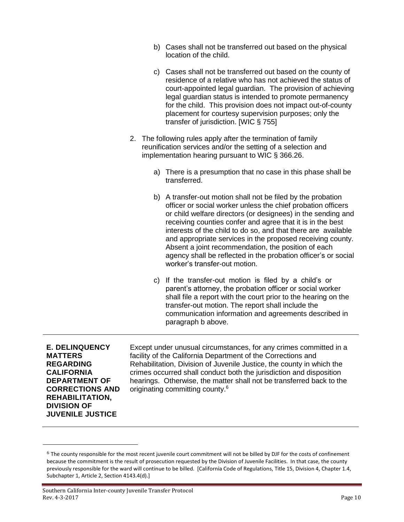- b) Cases shall not be transferred out based on the physical location of the child.
- c) Cases shall not be transferred out based on the county of residence of a relative who has not achieved the status of court-appointed legal guardian. The provision of achieving legal guardian status is intended to promote permanency for the child. This provision does not impact out-of-county placement for courtesy supervision purposes; only the transfer of jurisdiction. [WIC § 755]
- 2. The following rules apply after the termination of family reunification services and/or the setting of a selection and implementation hearing pursuant to WIC § 366.26.
	- a) There is a presumption that no case in this phase shall be transferred.
	- b) A transfer-out motion shall not be filed by the probation officer or social worker unless the chief probation officers or child welfare directors (or designees) in the sending and receiving counties confer and agree that it is in the best interests of the child to do so, and that there are available and appropriate services in the proposed receiving county. Absent a joint recommendation, the position of each agency shall be reflected in the probation officer's or social worker's transfer-out motion.
	- c) If the transfer-out motion is filed by a child's or parent's attorney, the probation officer or social worker shall file a report with the court prior to the hearing on the transfer-out motion. The report shall include the communication information and agreements described in paragraph b above.

**E. DELINQUENCY MATTERS REGARDING CALIFORNIA DEPARTMENT OF CORRECTIONS AND REHABILITATION, DIVISION OF JUVENILE JUSTICE**

 $\overline{a}$ 

Except under unusual circumstances, for any crimes committed in a facility of the California Department of the Corrections and Rehabilitation, Division of Juvenile Justice, the county in which the crimes occurred shall conduct both the jurisdiction and disposition hearings. Otherwise, the matter shall not be transferred back to the originating committing county.<sup>6</sup>

 $6$  The county responsible for the most recent juvenile court commitment will not be billed by DJF for the costs of confinement because the commitment is the result of prosecution requested by the Division of Juvenile Facilities. In that case, the county previously responsible for the ward will continue to be billed. [California Code of Regulations, Title 15, Division 4, Chapter 1.4, Subchapter 1, Article 2, Section 4143.4(d).]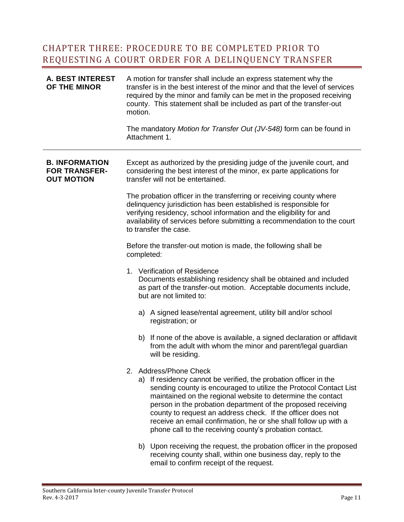#### <span id="page-10-0"></span>CHAPTER THREE: PROCEDURE TO BE COMPLETED PRIOR TO REQUESTING A COURT ORDER FOR A DELINQUENCY TRANSFER

| <b>A. BEST INTEREST</b><br>OF THE MINOR                            | motion.    | A motion for transfer shall include an express statement why the<br>transfer is in the best interest of the minor and that the level of services<br>required by the minor and family can be met in the proposed receiving<br>county. This statement shall be included as part of the transfer-out<br>The mandatory Motion for Transfer Out (JV-548) form can be found in                                                                                                                    |
|--------------------------------------------------------------------|------------|---------------------------------------------------------------------------------------------------------------------------------------------------------------------------------------------------------------------------------------------------------------------------------------------------------------------------------------------------------------------------------------------------------------------------------------------------------------------------------------------|
|                                                                    |            | Attachment 1.                                                                                                                                                                                                                                                                                                                                                                                                                                                                               |
| <b>B. INFORMATION</b><br><b>FOR TRANSFER-</b><br><b>OUT MOTION</b> |            | Except as authorized by the presiding judge of the juvenile court, and<br>considering the best interest of the minor, ex parte applications for<br>transfer will not be entertained.                                                                                                                                                                                                                                                                                                        |
|                                                                    |            | The probation officer in the transferring or receiving county where<br>delinquency jurisdiction has been established is responsible for<br>verifying residency, school information and the eligibility for and<br>availability of services before submitting a recommendation to the court<br>to transfer the case.                                                                                                                                                                         |
|                                                                    | completed: | Before the transfer-out motion is made, the following shall be                                                                                                                                                                                                                                                                                                                                                                                                                              |
|                                                                    |            | 1. Verification of Residence<br>Documents establishing residency shall be obtained and included<br>as part of the transfer-out motion. Acceptable documents include,<br>but are not limited to:                                                                                                                                                                                                                                                                                             |
|                                                                    |            | a) A signed lease/rental agreement, utility bill and/or school<br>registration; or                                                                                                                                                                                                                                                                                                                                                                                                          |
|                                                                    |            | b) If none of the above is available, a signed declaration or affidavit<br>from the adult with whom the minor and parent/legal guardian<br>will be residing.                                                                                                                                                                                                                                                                                                                                |
|                                                                    |            | 2. Address/Phone Check<br>a) If residency cannot be verified, the probation officer in the<br>sending county is encouraged to utilize the Protocol Contact List<br>maintained on the regional website to determine the contact<br>person in the probation department of the proposed receiving<br>county to request an address check. If the officer does not<br>receive an email confirmation, he or she shall follow up with a<br>phone call to the receiving county's probation contact. |
|                                                                    |            | b) Upon receiving the request, the probation officer in the proposed<br>receiving county shall, within one business day, reply to the<br>email to confirm receipt of the request.                                                                                                                                                                                                                                                                                                           |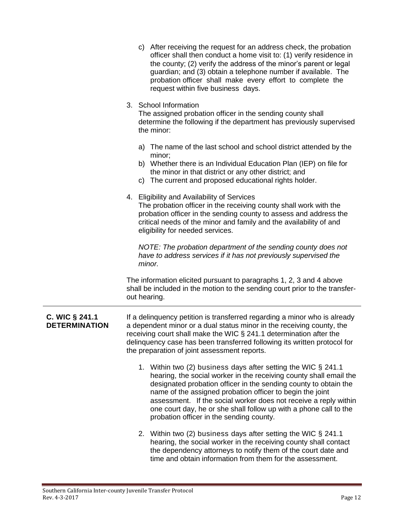|                                        | c) After receiving the request for an address check, the probation<br>officer shall then conduct a home visit to: (1) verify residence in<br>the county; (2) verify the address of the minor's parent or legal<br>guardian; and (3) obtain a telephone number if available. The<br>probation officer shall make every effort to complete the<br>request within five business days.                                                                        |
|----------------------------------------|-----------------------------------------------------------------------------------------------------------------------------------------------------------------------------------------------------------------------------------------------------------------------------------------------------------------------------------------------------------------------------------------------------------------------------------------------------------|
|                                        | 3. School Information<br>The assigned probation officer in the sending county shall<br>determine the following if the department has previously supervised<br>the minor:                                                                                                                                                                                                                                                                                  |
|                                        | a) The name of the last school and school district attended by the<br>minor;<br>b) Whether there is an Individual Education Plan (IEP) on file for<br>the minor in that district or any other district; and<br>c) The current and proposed educational rights holder.                                                                                                                                                                                     |
|                                        | 4. Eligibility and Availability of Services<br>The probation officer in the receiving county shall work with the<br>probation officer in the sending county to assess and address the<br>critical needs of the minor and family and the availability of and<br>eligibility for needed services.                                                                                                                                                           |
|                                        | NOTE: The probation department of the sending county does not<br>have to address services if it has not previously supervised the<br>minor.                                                                                                                                                                                                                                                                                                               |
|                                        | The information elicited pursuant to paragraphs 1, 2, 3 and 4 above<br>shall be included in the motion to the sending court prior to the transfer-<br>out hearing.                                                                                                                                                                                                                                                                                        |
| C. WIC § 241.1<br><b>DETERMINATION</b> | If a delinquency petition is transferred regarding a minor who is already<br>a dependent minor or a dual status minor in the receiving county, the<br>receiving court shall make the WIC § 241.1 determination after the<br>delinquency case has been transferred following its written protocol for<br>the preparation of joint assessment reports.                                                                                                      |
|                                        | 1. Within two (2) business days after setting the WIC § 241.1<br>hearing, the social worker in the receiving county shall email the<br>designated probation officer in the sending county to obtain the<br>name of the assigned probation officer to begin the joint<br>assessment. If the social worker does not receive a reply within<br>one court day, he or she shall follow up with a phone call to the<br>probation officer in the sending county. |
|                                        | 2. Within two (2) business days after setting the WIC § 241.1<br>hearing, the social worker in the receiving county shall contact<br>the dependency attorneys to notify them of the court date and<br>time and obtain information from them for the assessment.                                                                                                                                                                                           |

Ξ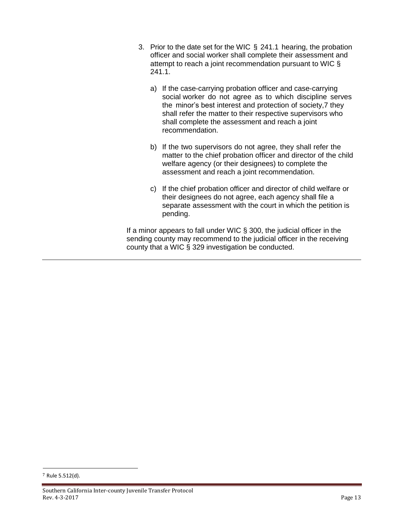- 3. Prior to the date set for the WIC § 241.1 hearing, the probation officer and social worker shall complete their assessment and attempt to reach a joint recommendation pursuant to WIC § 241.1.
	- a) If the case-carrying probation officer and case-carrying social worker do not agree as to which discipline serves the minor's best interest and protection of society,7 they shall refer the matter to their respective supervisors who shall complete the assessment and reach a joint recommendation.
	- b) If the two supervisors do not agree, they shall refer the matter to the chief probation officer and director of the child welfare agency (or their designees) to complete the assessment and reach a joint recommendation.
	- c) If the chief probation officer and director of child welfare or their designees do not agree, each agency shall file a separate assessment with the court in which the petition is pending.

<span id="page-12-0"></span>If a minor appears to fall under WIC § 300, the judicial officer in the sending county may recommend to the judicial officer in the receiving county that a WIC § 329 investigation be conducted.

 $\overline{a}$ 

<sup>7</sup> Rule 5.512(d).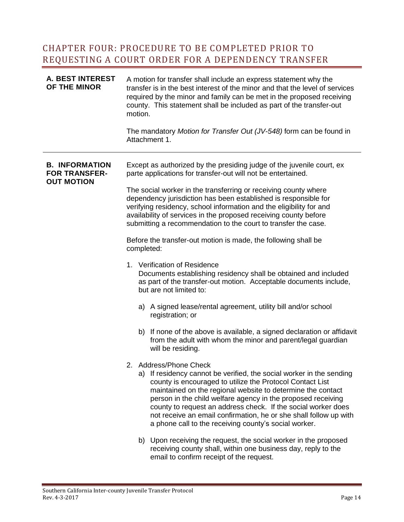#### CHAPTER FOUR: PROCEDURE TO BE COMPLETED PRIOR TO REQUESTING A COURT ORDER FOR A DEPENDENCY TRANSFER

| <b>A. BEST INTEREST</b><br>OF THE MINOR                            | A motion for transfer shall include an express statement why the<br>transfer is in the best interest of the minor and that the level of services<br>required by the minor and family can be met in the proposed receiving<br>county. This statement shall be included as part of the transfer-out<br>motion.                                                                                                                                                                              |
|--------------------------------------------------------------------|-------------------------------------------------------------------------------------------------------------------------------------------------------------------------------------------------------------------------------------------------------------------------------------------------------------------------------------------------------------------------------------------------------------------------------------------------------------------------------------------|
|                                                                    | The mandatory Motion for Transfer Out (JV-548) form can be found in<br>Attachment 1.                                                                                                                                                                                                                                                                                                                                                                                                      |
| <b>B. INFORMATION</b><br><b>FOR TRANSFER-</b><br><b>OUT MOTION</b> | Except as authorized by the presiding judge of the juvenile court, ex<br>parte applications for transfer-out will not be entertained.                                                                                                                                                                                                                                                                                                                                                     |
|                                                                    | The social worker in the transferring or receiving county where<br>dependency jurisdiction has been established is responsible for<br>verifying residency, school information and the eligibility for and<br>availability of services in the proposed receiving county before<br>submitting a recommendation to the court to transfer the case.                                                                                                                                           |
|                                                                    | Before the transfer-out motion is made, the following shall be<br>completed:                                                                                                                                                                                                                                                                                                                                                                                                              |
|                                                                    | 1. Verification of Residence<br>Documents establishing residency shall be obtained and included<br>as part of the transfer-out motion. Acceptable documents include,<br>but are not limited to:                                                                                                                                                                                                                                                                                           |
|                                                                    | a) A signed lease/rental agreement, utility bill and/or school<br>registration; or                                                                                                                                                                                                                                                                                                                                                                                                        |
|                                                                    | b) If none of the above is available, a signed declaration or affidavit<br>from the adult with whom the minor and parent/legal guardian<br>will be residing.                                                                                                                                                                                                                                                                                                                              |
|                                                                    | 2. Address/Phone Check<br>a) If residency cannot be verified, the social worker in the sending<br>county is encouraged to utilize the Protocol Contact List<br>maintained on the regional website to determine the contact<br>person in the child welfare agency in the proposed receiving<br>county to request an address check. If the social worker does<br>not receive an email confirmation, he or she shall follow up with<br>a phone call to the receiving county's social worker. |
|                                                                    | b) Upon receiving the request, the social worker in the proposed<br>receiving county shall, within one business day, reply to the                                                                                                                                                                                                                                                                                                                                                         |

email to confirm receipt of the request.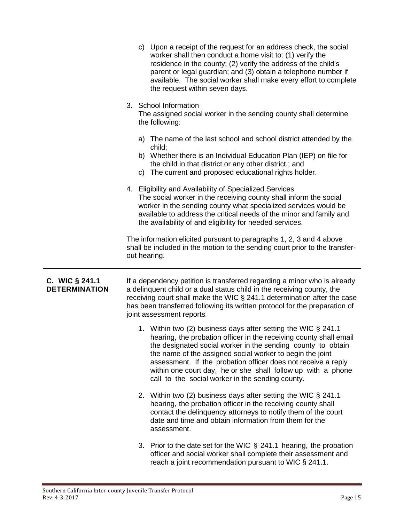|                                        |              | c) Upon a receipt of the request for an address check, the social<br>worker shall then conduct a home visit to: (1) verify the<br>residence in the county; (2) verify the address of the child's<br>parent or legal guardian; and (3) obtain a telephone number if<br>available. The social worker shall make every effort to complete<br>the request within seven days.                                                                              |
|----------------------------------------|--------------|-------------------------------------------------------------------------------------------------------------------------------------------------------------------------------------------------------------------------------------------------------------------------------------------------------------------------------------------------------------------------------------------------------------------------------------------------------|
|                                        |              | 3. School Information<br>The assigned social worker in the sending county shall determine<br>the following:                                                                                                                                                                                                                                                                                                                                           |
|                                        |              | a) The name of the last school and school district attended by the<br>child;<br>b) Whether there is an Individual Education Plan (IEP) on file for<br>the child in that district or any other district.; and<br>c) The current and proposed educational rights holder.                                                                                                                                                                                |
|                                        |              | 4. Eligibility and Availability of Specialized Services<br>The social worker in the receiving county shall inform the social<br>worker in the sending county what specialized services would be<br>available to address the critical needs of the minor and family and<br>the availability of and eligibility for needed services.                                                                                                                    |
|                                        | out hearing. | The information elicited pursuant to paragraphs 1, 2, 3 and 4 above<br>shall be included in the motion to the sending court prior to the transfer-                                                                                                                                                                                                                                                                                                    |
| C. WIC § 241.1<br><b>DETERMINATION</b> |              | If a dependency petition is transferred regarding a minor who is already<br>a delinquent child or a dual status child in the receiving county, the<br>receiving court shall make the WIC § 241.1 determination after the case<br>has been transferred following its written protocol for the preparation of<br>joint assessment reports.                                                                                                              |
|                                        |              | 1. Within two (2) business days after setting the WIC § 241.1<br>hearing, the probation officer in the receiving county shall email<br>the designated social worker in the sending county to obtain<br>the name of the assigned social worker to begin the joint<br>assessment. If the probation officer does not receive a reply<br>within one court day, he or she shall follow up with a phone<br>call to the social worker in the sending county. |
|                                        |              | 2. Within two (2) business days after setting the WIC § 241.1<br>hearing, the probation officer in the receiving county shall<br>contact the delinquency attorneys to notify them of the court<br>date and time and obtain information from them for the<br>assessment.                                                                                                                                                                               |
|                                        |              | 3. Prior to the date set for the WIC $\S$ 241.1 hearing, the probation<br>officer and social worker shall complete their assessment and<br>reach a joint recommendation pursuant to WIC § 241.1.                                                                                                                                                                                                                                                      |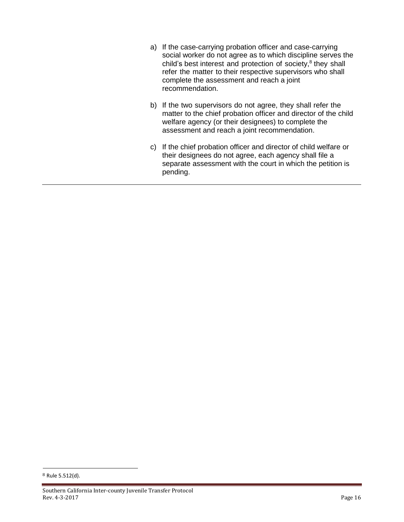- a) If the case-carrying probation officer and case-carrying social worker do not agree as to which discipline serves the child's best interest and protection of society,<sup>8</sup> they shall refer the matter to their respective supervisors who shall complete the assessment and reach a joint recommendation.
- b) If the two supervisors do not agree, they shall refer the matter to the chief probation officer and director of the child welfare agency (or their designees) to complete the assessment and reach a joint recommendation.
- c) If the chief probation officer and director of child welfare or their designees do not agree, each agency shall file a separate assessment with the court in which the petition is pending.

 $\overline{a}$ 

<sup>8</sup> Rule 5.512(d).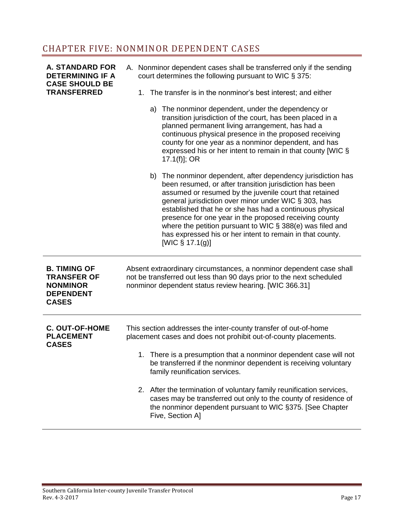### <span id="page-16-0"></span>CHAPTER FIVE: NONMINOR DEPENDENT CASES

| <b>A. STANDARD FOR</b><br><b>DETERMINING IF A</b><br><b>CASE SHOULD BE</b><br><b>TRANSFERRED</b> | A. Nonminor dependent cases shall be transferred only if the sending<br>court determines the following pursuant to WIC § 375:<br>1. The transfer is in the nonminor's best interest; and either<br>a) The nonminor dependent, under the dependency or<br>transition jurisdiction of the court, has been placed in a<br>planned permanent living arrangement, has had a<br>continuous physical presence in the proposed receiving<br>county for one year as a nonminor dependent, and has<br>expressed his or her intent to remain in that county [WIC §<br>$17.1(f)$ ; OR<br>b) The nonminor dependent, after dependency jurisdiction has<br>been resumed, or after transition jurisdiction has been<br>assumed or resumed by the juvenile court that retained<br>general jurisdiction over minor under WIC § 303, has<br>established that he or she has had a continuous physical<br>presence for one year in the proposed receiving county<br>where the petition pursuant to WIC § 388(e) was filed and<br>has expressed his or her intent to remain in that county. |
|--------------------------------------------------------------------------------------------------|------------------------------------------------------------------------------------------------------------------------------------------------------------------------------------------------------------------------------------------------------------------------------------------------------------------------------------------------------------------------------------------------------------------------------------------------------------------------------------------------------------------------------------------------------------------------------------------------------------------------------------------------------------------------------------------------------------------------------------------------------------------------------------------------------------------------------------------------------------------------------------------------------------------------------------------------------------------------------------------------------------------------------------------------------------------------|
|                                                                                                  | [WIC $\S$ 17.1(g)]                                                                                                                                                                                                                                                                                                                                                                                                                                                                                                                                                                                                                                                                                                                                                                                                                                                                                                                                                                                                                                                     |
| <b>B. TIMING OF</b><br><b>TRANSFER OF</b><br><b>NONMINOR</b><br><b>DEPENDENT</b><br><b>CASES</b> | Absent extraordinary circumstances, a nonminor dependent case shall<br>not be transferred out less than 90 days prior to the next scheduled<br>nonminor dependent status review hearing. [WIC 366.31]                                                                                                                                                                                                                                                                                                                                                                                                                                                                                                                                                                                                                                                                                                                                                                                                                                                                  |
| <b>C. OUT-OF-HOME</b><br><b>PLACEMENT</b><br><b>CASES</b>                                        | This section addresses the inter-county transfer of out-of-home<br>placement cases and does not prohibit out-of-county placements.                                                                                                                                                                                                                                                                                                                                                                                                                                                                                                                                                                                                                                                                                                                                                                                                                                                                                                                                     |
|                                                                                                  | 1. There is a presumption that a nonminor dependent case will not<br>be transferred if the nonminor dependent is receiving voluntary<br>family reunification services.                                                                                                                                                                                                                                                                                                                                                                                                                                                                                                                                                                                                                                                                                                                                                                                                                                                                                                 |
|                                                                                                  | 2. After the termination of voluntary family reunification services,<br>cases may be transferred out only to the county of residence of<br>the nonminor dependent pursuant to WIC §375. [See Chapter<br>Five, Section A]                                                                                                                                                                                                                                                                                                                                                                                                                                                                                                                                                                                                                                                                                                                                                                                                                                               |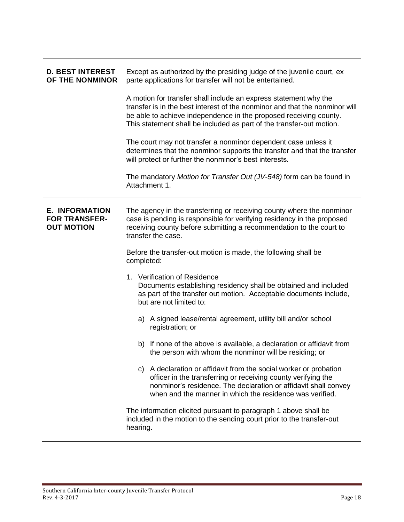| <b>D. BEST INTEREST</b><br>OF THE NONMINOR                         | Except as authorized by the presiding judge of the juvenile court, ex<br>parte applications for transfer will not be entertained.                                                                                                                                                            |  |
|--------------------------------------------------------------------|----------------------------------------------------------------------------------------------------------------------------------------------------------------------------------------------------------------------------------------------------------------------------------------------|--|
|                                                                    | A motion for transfer shall include an express statement why the<br>transfer is in the best interest of the nonminor and that the nonminor will<br>be able to achieve independence in the proposed receiving county.<br>This statement shall be included as part of the transfer-out motion. |  |
|                                                                    | The court may not transfer a nonminor dependent case unless it<br>determines that the nonminor supports the transfer and that the transfer<br>will protect or further the nonminor's best interests.                                                                                         |  |
|                                                                    | The mandatory Motion for Transfer Out (JV-548) form can be found in<br>Attachment 1.                                                                                                                                                                                                         |  |
| <b>E. INFORMATION</b><br><b>FOR TRANSFER-</b><br><b>OUT MOTION</b> | The agency in the transferring or receiving county where the nonminor<br>case is pending is responsible for verifying residency in the proposed<br>receiving county before submitting a recommendation to the court to<br>transfer the case.                                                 |  |
|                                                                    | Before the transfer-out motion is made, the following shall be<br>completed:                                                                                                                                                                                                                 |  |
|                                                                    | 1. Verification of Residence<br>Documents establishing residency shall be obtained and included<br>as part of the transfer out motion. Acceptable documents include,<br>but are not limited to:                                                                                              |  |
|                                                                    | a) A signed lease/rental agreement, utility bill and/or school<br>registration; or                                                                                                                                                                                                           |  |
|                                                                    | b) If none of the above is available, a declaration or affidavit from<br>the person with whom the nonminor will be residing; or                                                                                                                                                              |  |
|                                                                    | c) A declaration or affidavit from the social worker or probation<br>officer in the transferring or receiving county verifying the<br>nonminor's residence. The declaration or affidavit shall convey<br>when and the manner in which the residence was verified.                            |  |
|                                                                    | The information elicited pursuant to paragraph 1 above shall be<br>included in the motion to the sending court prior to the transfer-out<br>hearing.                                                                                                                                         |  |

ī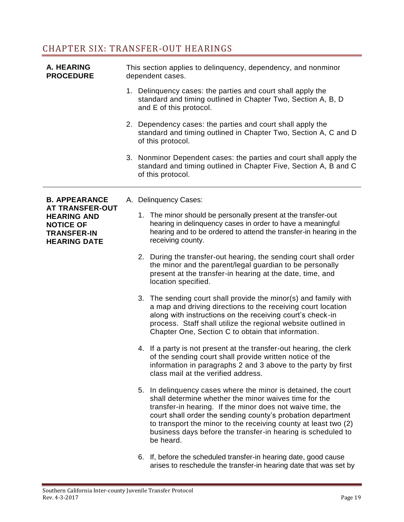#### <span id="page-18-0"></span>CHAPTER SIX: TRANSFER-OUT HEARINGS

| A. HEARING<br><b>PROCEDURE</b>                                                                                | This section applies to delinquency, dependency, and nonminor<br>dependent cases.                                                                      |                                                                                                                                                                                                                                                                                                                                                                                                      |  |
|---------------------------------------------------------------------------------------------------------------|--------------------------------------------------------------------------------------------------------------------------------------------------------|------------------------------------------------------------------------------------------------------------------------------------------------------------------------------------------------------------------------------------------------------------------------------------------------------------------------------------------------------------------------------------------------------|--|
|                                                                                                               | 1. Delinguency cases: the parties and court shall apply the<br>standard and timing outlined in Chapter Two, Section A, B, D<br>and E of this protocol. |                                                                                                                                                                                                                                                                                                                                                                                                      |  |
|                                                                                                               |                                                                                                                                                        | 2. Dependency cases: the parties and court shall apply the<br>standard and timing outlined in Chapter Two, Section A, C and D<br>of this protocol.                                                                                                                                                                                                                                                   |  |
|                                                                                                               |                                                                                                                                                        | 3. Nonminor Dependent cases: the parties and court shall apply the<br>standard and timing outlined in Chapter Five, Section A, B and C<br>of this protocol.                                                                                                                                                                                                                                          |  |
| <b>B. APPEARANCE</b>                                                                                          |                                                                                                                                                        | A. Delinquency Cases:                                                                                                                                                                                                                                                                                                                                                                                |  |
| <b>AT TRANSFER-OUT</b><br><b>HEARING AND</b><br><b>NOTICE OF</b><br><b>TRANSFER-IN</b><br><b>HEARING DATE</b> |                                                                                                                                                        | 1. The minor should be personally present at the transfer-out<br>hearing in delinquency cases in order to have a meaningful<br>hearing and to be ordered to attend the transfer-in hearing in the<br>receiving county.                                                                                                                                                                               |  |
|                                                                                                               |                                                                                                                                                        | 2. During the transfer-out hearing, the sending court shall order<br>the minor and the parent/legal guardian to be personally<br>present at the transfer-in hearing at the date, time, and<br>location specified.                                                                                                                                                                                    |  |
|                                                                                                               |                                                                                                                                                        | 3. The sending court shall provide the minor(s) and family with<br>a map and driving directions to the receiving court location<br>along with instructions on the receiving court's check-in<br>process. Staff shall utilize the regional website outlined in<br>Chapter One, Section C to obtain that information.                                                                                  |  |
|                                                                                                               |                                                                                                                                                        | 4. If a party is not present at the transfer-out hearing, the clerk<br>of the sending court shall provide written notice of the<br>information in paragraphs 2 and 3 above to the party by first<br>class mail at the verified address.                                                                                                                                                              |  |
|                                                                                                               |                                                                                                                                                        | 5. In delinguency cases where the minor is detained, the court<br>shall determine whether the minor waives time for the<br>transfer-in hearing. If the minor does not waive time, the<br>court shall order the sending county's probation department<br>to transport the minor to the receiving county at least two (2)<br>business days before the transfer-in hearing is scheduled to<br>be heard. |  |
|                                                                                                               |                                                                                                                                                        | 6. If, before the scheduled transfer-in hearing date, good cause                                                                                                                                                                                                                                                                                                                                     |  |

arises to reschedule the transfer-in hearing date that was set by

÷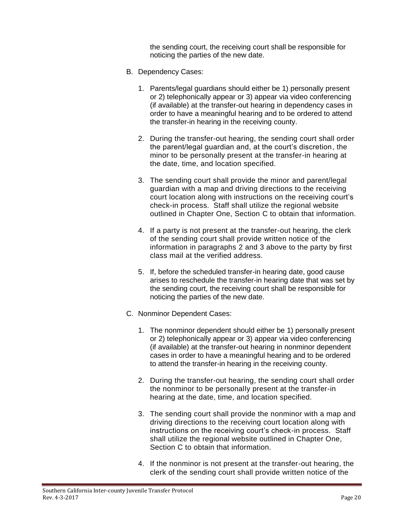the sending court, the receiving court shall be responsible for noticing the parties of the new date.

- B. Dependency Cases:
	- 1. Parents/legal guardians should either be 1) personally present or 2) telephonically appear or 3) appear via video conferencing (if available) at the transfer-out hearing in dependency cases in order to have a meaningful hearing and to be ordered to attend the transfer-in hearing in the receiving county.
	- 2. During the transfer-out hearing, the sending court shall order the parent/legal guardian and, at the court's discretion, the minor to be personally present at the transfer-in hearing at the date, time, and location specified.
	- 3. The sending court shall provide the minor and parent/legal guardian with a map and driving directions to the receiving court location along with instructions on the receiving court's check-in process. Staff shall utilize the regional website outlined in Chapter One, Section C to obtain that information.
	- 4. If a party is not present at the transfer-out hearing, the clerk of the sending court shall provide written notice of the information in paragraphs 2 and 3 above to the party by first class mail at the verified address.
	- 5. If, before the scheduled transfer-in hearing date, good cause arises to reschedule the transfer-in hearing date that was set by the sending court, the receiving court shall be responsible for noticing the parties of the new date.
- C. Nonminor Dependent Cases:
	- 1. The nonminor dependent should either be 1) personally present or 2) telephonically appear or 3) appear via video conferencing (if available) at the transfer-out hearing in nonminor dependent cases in order to have a meaningful hearing and to be ordered to attend the transfer-in hearing in the receiving county.
	- 2. During the transfer-out hearing, the sending court shall order the nonminor to be personally present at the transfer-in hearing at the date, time, and location specified.
	- 3. The sending court shall provide the nonminor with a map and driving directions to the receiving court location along with instructions on the receiving court's check-in process. Staff shall utilize the regional website outlined in Chapter One, Section C to obtain that information.
	- 4. If the nonminor is not present at the transfer-out hearing, the clerk of the sending court shall provide written notice of the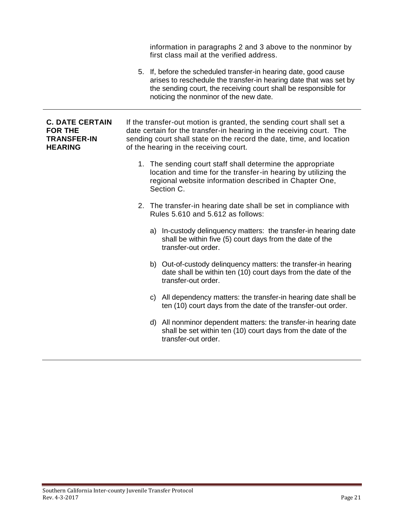|                                                                                  | information in paragraphs 2 and 3 above to the nonminor by<br>first class mail at the verified address.                                                                                                                                                        |
|----------------------------------------------------------------------------------|----------------------------------------------------------------------------------------------------------------------------------------------------------------------------------------------------------------------------------------------------------------|
|                                                                                  | 5. If, before the scheduled transfer-in hearing date, good cause<br>arises to reschedule the transfer-in hearing date that was set by<br>the sending court, the receiving court shall be responsible for<br>noticing the nonminor of the new date.             |
| <b>C. DATE CERTAIN</b><br><b>FOR THE</b><br><b>TRANSFER-IN</b><br><b>HEARING</b> | If the transfer-out motion is granted, the sending court shall set a<br>date certain for the transfer-in hearing in the receiving court. The<br>sending court shall state on the record the date, time, and location<br>of the hearing in the receiving court. |
|                                                                                  | 1. The sending court staff shall determine the appropriate<br>location and time for the transfer-in hearing by utilizing the<br>regional website information described in Chapter One,<br>Section C.                                                           |
|                                                                                  | 2. The transfer-in hearing date shall be set in compliance with<br>Rules 5.610 and 5.612 as follows:                                                                                                                                                           |
|                                                                                  | a) In-custody delinquency matters: the transfer-in hearing date<br>shall be within five (5) court days from the date of the<br>transfer-out order.                                                                                                             |
|                                                                                  | b) Out-of-custody delinquency matters: the transfer-in hearing<br>date shall be within ten (10) court days from the date of the<br>transfer-out order.                                                                                                         |
|                                                                                  | c) All dependency matters: the transfer-in hearing date shall be<br>ten (10) court days from the date of the transfer-out order.                                                                                                                               |
|                                                                                  | d) All nonminor dependent matters: the transfer-in hearing date<br>shall be set within ten (10) court days from the date of the<br>transfer-out order.                                                                                                         |

<span id="page-20-0"></span>Ξ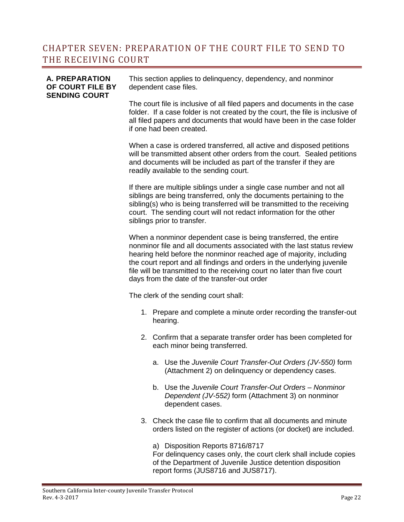#### CHAPTER SEVEN: PREPARATION OF THE COURT FILE TO SEND TO THE RECEIVING COURT

#### **A. PREPARATION OF COURT FILE BY SENDING COURT**

This section applies to delinquency, dependency, and nonminor dependent case files.

The court file is inclusive of all filed papers and documents in the case folder. If a case folder is not created by the court, the file is inclusive of all filed papers and documents that would have been in the case folder if one had been created.

When a case is ordered transferred, all active and disposed petitions will be transmitted absent other orders from the court. Sealed petitions and documents will be included as part of the transfer if they are readily available to the sending court.

If there are multiple siblings under a single case number and not all siblings are being transferred, only the documents pertaining to the sibling(s) who is being transferred will be transmitted to the receiving court. The sending court will not redact information for the other siblings prior to transfer.

When a nonminor dependent case is being transferred, the entire nonminor file and all documents associated with the last status review hearing held before the nonminor reached age of majority, including the court report and all findings and orders in the underlying juvenile file will be transmitted to the receiving court no later than five court days from the date of the transfer-out order

The clerk of the sending court shall:

- 1. Prepare and complete a minute order recording the transfer-out hearing.
- 2. Confirm that a separate transfer order has been completed for each minor being transferred.
	- a. Use the *Juvenile Court Transfer-Out Orders (JV-550)* form (Attachment 2) on delinquency or dependency cases.
	- b. Use the *Juvenile Court Transfer-Out Orders – Nonminor Dependent (JV-552)* form (Attachment 3) on nonminor dependent cases.
- 3. Check the case file to confirm that all documents and minute orders listed on the register of actions (or docket) are included.

a) Disposition Reports 8716/8717 For delinquency cases only, the court clerk shall include copies of the Department of Juvenile Justice detention disposition report forms (JUS8716 and JUS8717).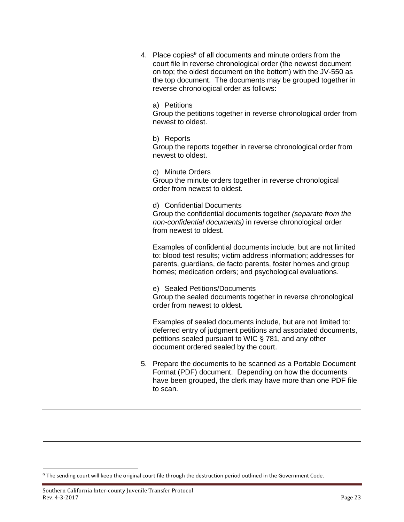4. Place copies<sup>9</sup> of all documents and minute orders from the court file in reverse chronological order (the newest document on top; the oldest document on the bottom) with the JV-550 as the top document. The documents may be grouped together in reverse chronological order as follows:

a) Petitions

Group the petitions together in reverse chronological order from newest to oldest.

b) Reports Group the reports together in reverse chronological order from newest to oldest.

c) Minute Orders Group the minute orders together in reverse chronological order from newest to oldest.

d) Confidential Documents Group the confidential documents together *(separate from the non-confidential documents)* in reverse chronological order from newest to oldest.

Examples of confidential documents include, but are not limited to: blood test results; victim address information; addresses for parents, guardians, de facto parents, foster homes and group homes; medication orders; and psychological evaluations.

e) Sealed Petitions/Documents

Group the sealed documents together in reverse chronological order from newest to oldest.

Examples of sealed documents include, but are not limited to: deferred entry of judgment petitions and associated documents, petitions sealed pursuant to WIC § 781, and any other document ordered sealed by the court.

5. Prepare the documents to be scanned as a Portable Document Format (PDF) document. Depending on how the documents have been grouped, the clerk may have more than one PDF file to scan.

 $\overline{a}$ 

 $9$  The sending court will keep the original court file through the destruction period outlined in the Government Code.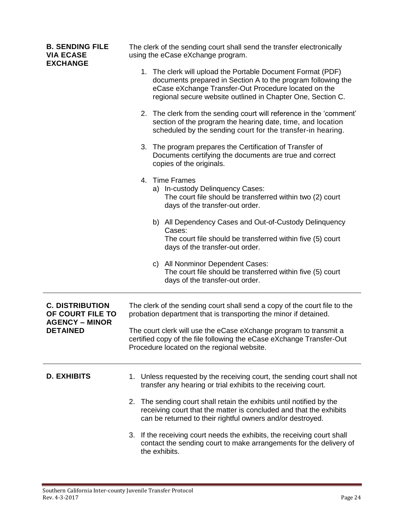| <b>B. SENDING FILE</b><br><b>VIA ECASE</b><br><b>EXCHANGE</b>       | The clerk of the sending court shall send the transfer electronically<br>using the eCase eXchange program.                                                                                                                                         |
|---------------------------------------------------------------------|----------------------------------------------------------------------------------------------------------------------------------------------------------------------------------------------------------------------------------------------------|
|                                                                     | 1. The clerk will upload the Portable Document Format (PDF)<br>documents prepared in Section A to the program following the<br>eCase eXchange Transfer-Out Procedure located on the<br>regional secure website outlined in Chapter One, Section C. |
|                                                                     | 2. The clerk from the sending court will reference in the 'comment'<br>section of the program the hearing date, time, and location<br>scheduled by the sending court for the transfer-in hearing.                                                  |
|                                                                     | 3. The program prepares the Certification of Transfer of<br>Documents certifying the documents are true and correct<br>copies of the originals.                                                                                                    |
|                                                                     | 4. Time Frames<br>a) In-custody Delinquency Cases:<br>The court file should be transferred within two (2) court<br>days of the transfer-out order.                                                                                                 |
|                                                                     | b) All Dependency Cases and Out-of-Custody Delinquency<br>Cases:                                                                                                                                                                                   |
|                                                                     | The court file should be transferred within five (5) court<br>days of the transfer-out order.                                                                                                                                                      |
|                                                                     | c) All Nonminor Dependent Cases:<br>The court file should be transferred within five (5) court<br>days of the transfer-out order.                                                                                                                  |
| <b>C. DISTRIBUTION</b><br>OF COURT FILE TO<br><b>AGENCY – MINOR</b> | The clerk of the sending court shall send a copy of the court file to the<br>probation department that is transporting the minor if detained.                                                                                                      |
| <b>DETAINED</b>                                                     | The court clerk will use the eCase eXchange program to transmit a<br>certified copy of the file following the eCase eXchange Transfer-Out<br>Procedure located on the regional website.                                                            |
| <b>D. EXHIBITS</b>                                                  | 1. Unless requested by the receiving court, the sending court shall not<br>transfer any hearing or trial exhibits to the receiving court.                                                                                                          |
|                                                                     | 2. The sending court shall retain the exhibits until notified by the<br>receiving court that the matter is concluded and that the exhibits<br>can be returned to their rightful owners and/or destroyed.                                           |
|                                                                     | 3. If the receiving court needs the exhibits, the receiving court shall<br>contact the sending court to make arrangements for the delivery of<br>the exhibits.                                                                                     |

Ξ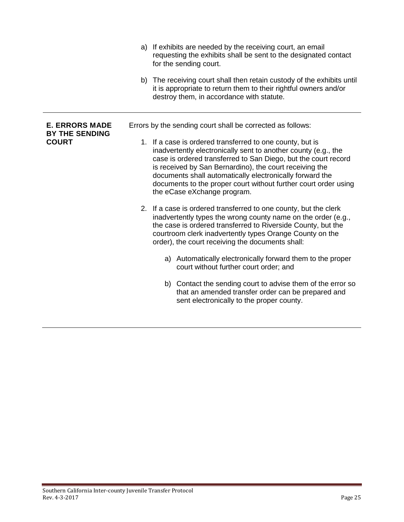|                                                | a) If exhibits are needed by the receiving court, an email<br>requesting the exhibits shall be sent to the designated contact<br>for the sending court.                                                                                                                                                                                                                                                                |
|------------------------------------------------|------------------------------------------------------------------------------------------------------------------------------------------------------------------------------------------------------------------------------------------------------------------------------------------------------------------------------------------------------------------------------------------------------------------------|
|                                                | b) The receiving court shall then retain custody of the exhibits until<br>it is appropriate to return them to their rightful owners and/or<br>destroy them, in accordance with statute.                                                                                                                                                                                                                                |
| <b>E. ERRORS MADE</b><br><b>BY THE SENDING</b> | Errors by the sending court shall be corrected as follows:                                                                                                                                                                                                                                                                                                                                                             |
| <b>COURT</b>                                   | 1. If a case is ordered transferred to one county, but is<br>inadvertently electronically sent to another county (e.g., the<br>case is ordered transferred to San Diego, but the court record<br>is received by San Bernardino), the court receiving the<br>documents shall automatically electronically forward the<br>documents to the proper court without further court order using<br>the eCase eXchange program. |
|                                                | 2. If a case is ordered transferred to one county, but the clerk<br>inadvertently types the wrong county name on the order (e.g.,<br>the case is ordered transferred to Riverside County, but the<br>courtroom clerk inadvertently types Orange County on the<br>order), the court receiving the documents shall:                                                                                                      |
|                                                | a) Automatically electronically forward them to the proper<br>court without further court order; and                                                                                                                                                                                                                                                                                                                   |
|                                                | b) Contact the sending court to advise them of the error so<br>that an amended transfer order can be prepared and<br>sent electronically to the proper county.                                                                                                                                                                                                                                                         |

ī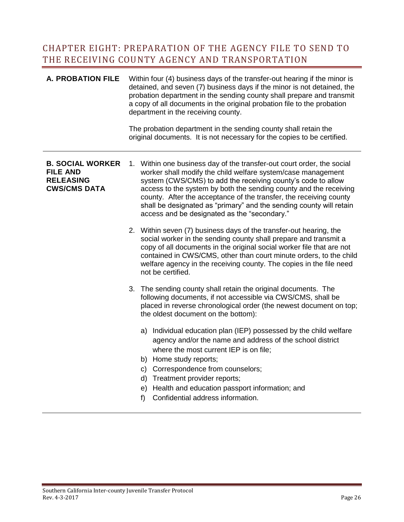#### <span id="page-25-0"></span>CHAPTER EIGHT: PREPARATION OF THE AGENCY FILE TO SEND TO THE RECEIVING COUNTY AGENCY AND TRANSPORTATION

| <b>A. PROBATION FILE</b>                                                              | Within four (4) business days of the transfer-out hearing if the minor is<br>detained, and seven (7) business days if the minor is not detained, the<br>probation department in the sending county shall prepare and transmit<br>a copy of all documents in the original probation file to the probation<br>department in the receiving county.<br>The probation department in the sending county shall retain the<br>original documents. It is not necessary for the copies to be certified. |  |  |  |
|---------------------------------------------------------------------------------------|-----------------------------------------------------------------------------------------------------------------------------------------------------------------------------------------------------------------------------------------------------------------------------------------------------------------------------------------------------------------------------------------------------------------------------------------------------------------------------------------------|--|--|--|
|                                                                                       |                                                                                                                                                                                                                                                                                                                                                                                                                                                                                               |  |  |  |
| <b>B. SOCIAL WORKER</b><br><b>FILE AND</b><br><b>RELEASING</b><br><b>CWS/CMS DATA</b> | 1. Within one business day of the transfer-out court order, the social<br>worker shall modify the child welfare system/case management<br>system (CWS/CMS) to add the receiving county's code to allow<br>access to the system by both the sending county and the receiving<br>county. After the acceptance of the transfer, the receiving county<br>shall be designated as "primary" and the sending county will retain<br>access and be designated as the "secondary."                      |  |  |  |
|                                                                                       | 2. Within seven (7) business days of the transfer-out hearing, the<br>social worker in the sending county shall prepare and transmit a<br>copy of all documents in the original social worker file that are not<br>contained in CWS/CMS, other than court minute orders, to the child<br>welfare agency in the receiving county. The copies in the file need<br>not be certified.                                                                                                             |  |  |  |
|                                                                                       | 3. The sending county shall retain the original documents. The<br>following documents, if not accessible via CWS/CMS, shall be<br>placed in reverse chronological order (the newest document on top;<br>the oldest document on the bottom):                                                                                                                                                                                                                                                   |  |  |  |
|                                                                                       | a) Individual education plan (IEP) possessed by the child welfare<br>agency and/or the name and address of the school district<br>where the most current IEP is on file;                                                                                                                                                                                                                                                                                                                      |  |  |  |
|                                                                                       | b) Home study reports;                                                                                                                                                                                                                                                                                                                                                                                                                                                                        |  |  |  |
|                                                                                       | Correspondence from counselors;<br>$\mathsf{C}$ )                                                                                                                                                                                                                                                                                                                                                                                                                                             |  |  |  |
|                                                                                       | d) Treatment provider reports;                                                                                                                                                                                                                                                                                                                                                                                                                                                                |  |  |  |
|                                                                                       | e) Health and education passport information; and                                                                                                                                                                                                                                                                                                                                                                                                                                             |  |  |  |
|                                                                                       | Confidential address information.<br>f                                                                                                                                                                                                                                                                                                                                                                                                                                                        |  |  |  |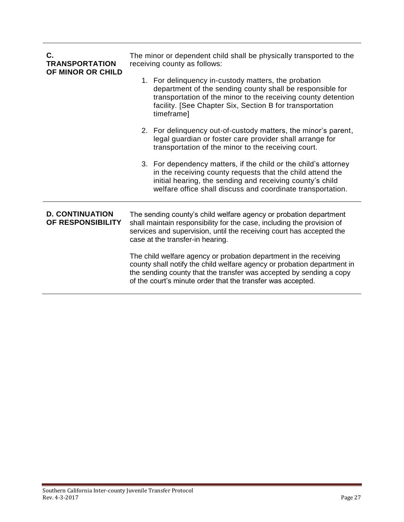| С.<br><b>TRANSPORTATION</b><br>OF MINOR OR CHILD | The minor or dependent child shall be physically transported to the<br>receiving county as follows:                                                                                                                                                                                |  |  |  |
|--------------------------------------------------|------------------------------------------------------------------------------------------------------------------------------------------------------------------------------------------------------------------------------------------------------------------------------------|--|--|--|
|                                                  | 1. For delinquency in-custody matters, the probation<br>department of the sending county shall be responsible for<br>transportation of the minor to the receiving county detention<br>facility. [See Chapter Six, Section B for transportation<br>timeframe]                       |  |  |  |
|                                                  | 2. For delinguency out-of-custody matters, the minor's parent,<br>legal guardian or foster care provider shall arrange for<br>transportation of the minor to the receiving court.                                                                                                  |  |  |  |
|                                                  | 3. For dependency matters, if the child or the child's attorney<br>in the receiving county requests that the child attend the<br>initial hearing, the sending and receiving county's child<br>welfare office shall discuss and coordinate transportation.                          |  |  |  |
| <b>D. CONTINUATION</b><br>OF RESPONSIBILITY      | The sending county's child welfare agency or probation department<br>shall maintain responsibility for the case, including the provision of<br>services and supervision, until the receiving court has accepted the<br>case at the transfer-in hearing.                            |  |  |  |
|                                                  | The child welfare agency or probation department in the receiving<br>county shall notify the child welfare agency or probation department in<br>the sending county that the transfer was accepted by sending a copy<br>of the court's minute order that the transfer was accepted. |  |  |  |

ī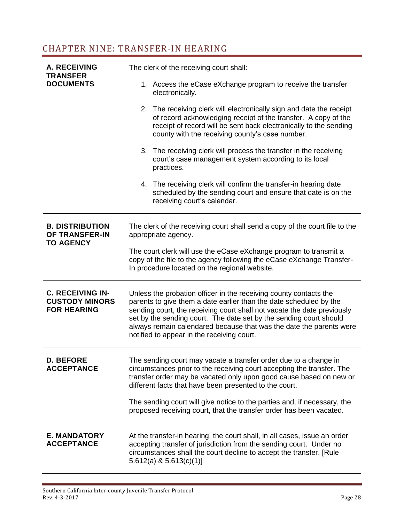## <span id="page-27-0"></span>CHAPTER NINE: TRANSFER-IN HEARING

| <b>A. RECEIVING</b>                                                    | The clerk of the receiving court shall:                                                                                                                                                                                                                                                                                                                                                                       |  |  |  |  |
|------------------------------------------------------------------------|---------------------------------------------------------------------------------------------------------------------------------------------------------------------------------------------------------------------------------------------------------------------------------------------------------------------------------------------------------------------------------------------------------------|--|--|--|--|
| <b>TRANSFER</b><br><b>DOCUMENTS</b>                                    | 1. Access the eCase eXchange program to receive the transfer<br>electronically.                                                                                                                                                                                                                                                                                                                               |  |  |  |  |
|                                                                        | 2. The receiving clerk will electronically sign and date the receipt<br>of record acknowledging receipt of the transfer. A copy of the<br>receipt of record will be sent back electronically to the sending<br>county with the receiving county's case number.                                                                                                                                                |  |  |  |  |
|                                                                        | 3. The receiving clerk will process the transfer in the receiving<br>court's case management system according to its local<br>practices.                                                                                                                                                                                                                                                                      |  |  |  |  |
|                                                                        | 4. The receiving clerk will confirm the transfer-in hearing date<br>scheduled by the sending court and ensure that date is on the<br>receiving court's calendar.                                                                                                                                                                                                                                              |  |  |  |  |
| <b>B. DISTRIBUTION</b><br>OF TRANSFER-IN<br><b>TO AGENCY</b>           | The clerk of the receiving court shall send a copy of the court file to the<br>appropriate agency.                                                                                                                                                                                                                                                                                                            |  |  |  |  |
|                                                                        | The court clerk will use the eCase eXchange program to transmit a<br>copy of the file to the agency following the eCase eXchange Transfer-<br>In procedure located on the regional website.                                                                                                                                                                                                                   |  |  |  |  |
| <b>C. RECEIVING IN-</b><br><b>CUSTODY MINORS</b><br><b>FOR HEARING</b> | Unless the probation officer in the receiving county contacts the<br>parents to give them a date earlier than the date scheduled by the<br>sending court, the receiving court shall not vacate the date previously<br>set by the sending court. The date set by the sending court should<br>always remain calendared because that was the date the parents were<br>notified to appear in the receiving court. |  |  |  |  |
| <b>D. BEFORE</b><br><b>ACCEPTANCE</b>                                  | The sending court may vacate a transfer order due to a change in<br>circumstances prior to the receiving court accepting the transfer. The<br>transfer order may be vacated only upon good cause based on new or<br>different facts that have been presented to the court.                                                                                                                                    |  |  |  |  |
|                                                                        | The sending court will give notice to the parties and, if necessary, the<br>proposed receiving court, that the transfer order has been vacated.                                                                                                                                                                                                                                                               |  |  |  |  |
| <b>E. MANDATORY</b><br><b>ACCEPTANCE</b>                               | At the transfer-in hearing, the court shall, in all cases, issue an order<br>accepting transfer of jurisdiction from the sending court. Under no<br>circumstances shall the court decline to accept the transfer. [Rule<br>$5.612(a)$ & $5.613(c)(1)$                                                                                                                                                         |  |  |  |  |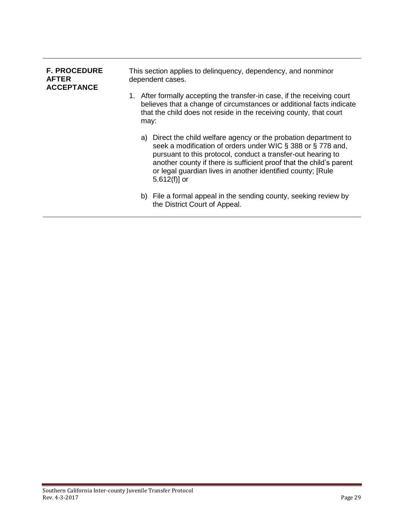| <b>F. PROCEDURE</b><br><b>AFTER</b><br><b>ACCEPTANCE</b> | This section applies to delinguency, dependency, and nonminor<br>dependent cases. |                                                                                                                                                                                                                                                                                                                                                           |  |  |
|----------------------------------------------------------|-----------------------------------------------------------------------------------|-----------------------------------------------------------------------------------------------------------------------------------------------------------------------------------------------------------------------------------------------------------------------------------------------------------------------------------------------------------|--|--|
|                                                          |                                                                                   | 1. After formally accepting the transfer-in case, if the receiving court<br>believes that a change of circumstances or additional facts indicate<br>that the child does not reside in the receiving county, that court<br>may:                                                                                                                            |  |  |
|                                                          |                                                                                   | a) Direct the child welfare agency or the probation department to<br>seek a modification of orders under WIC § 388 or § 778 and,<br>pursuant to this protocol, conduct a transfer-out hearing to<br>another county if there is sufficient proof that the child's parent<br>or legal guardian lives in another identified county; [Rule<br>$5.612(f)$ ] or |  |  |
|                                                          |                                                                                   | b) File a formal appeal in the sending county, seeking review by<br>the District Court of Appeal.                                                                                                                                                                                                                                                         |  |  |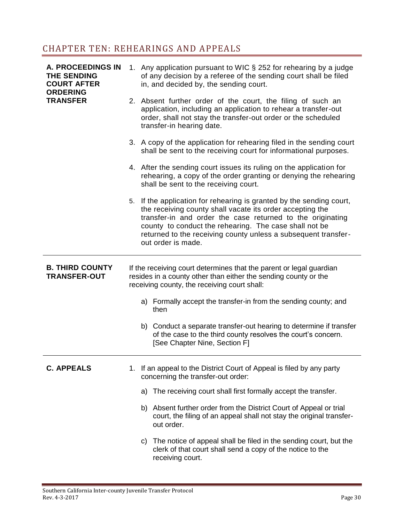## <span id="page-29-0"></span>CHAPTER TEN: REHEARINGS AND APPEALS

| <b>A. PROCEEDINGS IN</b><br><b>THE SENDING</b><br><b>COURT AFTER</b> | 1. Any application pursuant to WIC § 252 for rehearing by a judge<br>of any decision by a referee of the sending court shall be filed<br>in, and decided by, the sending court.                                                                                                                                                                   |  |  |  |
|----------------------------------------------------------------------|---------------------------------------------------------------------------------------------------------------------------------------------------------------------------------------------------------------------------------------------------------------------------------------------------------------------------------------------------|--|--|--|
| <b>ORDERING</b><br><b>TRANSFER</b>                                   | 2. Absent further order of the court, the filing of such an<br>application, including an application to rehear a transfer-out<br>order, shall not stay the transfer-out order or the scheduled<br>transfer-in hearing date.                                                                                                                       |  |  |  |
|                                                                      | 3. A copy of the application for rehearing filed in the sending court<br>shall be sent to the receiving court for informational purposes.                                                                                                                                                                                                         |  |  |  |
|                                                                      | 4. After the sending court issues its ruling on the application for<br>rehearing, a copy of the order granting or denying the rehearing<br>shall be sent to the receiving court.                                                                                                                                                                  |  |  |  |
|                                                                      | 5. If the application for rehearing is granted by the sending court,<br>the receiving county shall vacate its order accepting the<br>transfer-in and order the case returned to the originating<br>county to conduct the rehearing. The case shall not be<br>returned to the receiving county unless a subsequent transfer-<br>out order is made. |  |  |  |
| <b>B. THIRD COUNTY</b><br><b>TRANSFER-OUT</b>                        | If the receiving court determines that the parent or legal guardian<br>resides in a county other than either the sending county or the<br>receiving county, the receiving court shall:                                                                                                                                                            |  |  |  |
|                                                                      | a) Formally accept the transfer-in from the sending county; and<br>then                                                                                                                                                                                                                                                                           |  |  |  |
|                                                                      | b) Conduct a separate transfer-out hearing to determine if transfer<br>of the case to the third county resolves the court's concern.<br>[See Chapter Nine, Section F]                                                                                                                                                                             |  |  |  |
| <b>C. APPEALS</b>                                                    | 1. If an appeal to the District Court of Appeal is filed by any party<br>concerning the transfer-out order:                                                                                                                                                                                                                                       |  |  |  |
|                                                                      | a) The receiving court shall first formally accept the transfer.                                                                                                                                                                                                                                                                                  |  |  |  |
|                                                                      | b) Absent further order from the District Court of Appeal or trial<br>court, the filing of an appeal shall not stay the original transfer-<br>out order.                                                                                                                                                                                          |  |  |  |
|                                                                      | c) The notice of appeal shall be filed in the sending court, but the<br>clerk of that court shall send a copy of the notice to the<br>receiving court.                                                                                                                                                                                            |  |  |  |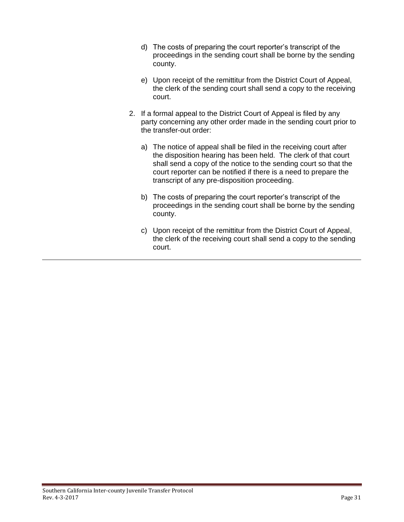- d) The costs of preparing the court reporter's transcript of the proceedings in the sending court shall be borne by the sending county.
- e) Upon receipt of the remittitur from the District Court of Appeal, the clerk of the sending court shall send a copy to the receiving court.
- 2. If a formal appeal to the District Court of Appeal is filed by any party concerning any other order made in the sending court prior to the transfer-out order:
	- a) The notice of appeal shall be filed in the receiving court after the disposition hearing has been held. The clerk of that court shall send a copy of the notice to the sending court so that the court reporter can be notified if there is a need to prepare the transcript of any pre-disposition proceeding.
	- b) The costs of preparing the court reporter's transcript of the proceedings in the sending court shall be borne by the sending county.
	- c) Upon receipt of the remittitur from the District Court of Appeal, the clerk of the receiving court shall send a copy to the sending court.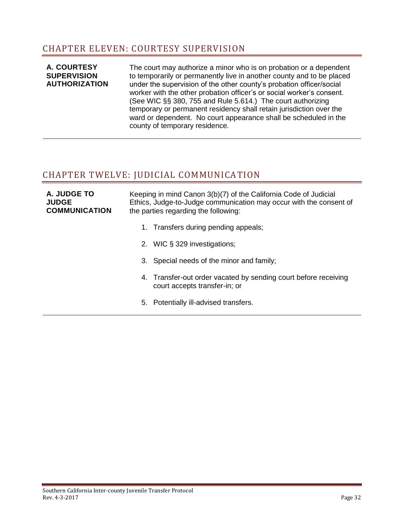#### <span id="page-31-0"></span>CHAPTER ELEVEN: COURTESY SUPERVISION

#### **A. COURTESY SUPERVISION AUTHORIZATION** The court may authorize a minor who is on probation or a dependent to temporarily or permanently live in another county and to be placed under the supervision of the other county's probation officer/social worker with the other probation officer's or social worker's consent. (See WIC §§ 380, 755 and Rule 5.614.) The court authorizing temporary or permanent residency shall retain jurisdiction over the ward or dependent. No court appearance shall be scheduled in the county of temporary residence.

#### <span id="page-31-1"></span>CHAPTER TWELVE: JUDICIAL COMMUNICATION

| A. JUDGE TO<br><b>JUDGE</b><br><b>COMMUNICATION</b> | Keeping in mind Canon 3(b)(7) of the California Code of Judicial<br>Ethics, Judge-to-Judge communication may occur with the consent of<br>the parties regarding the following: |                                                                                                  |  |
|-----------------------------------------------------|--------------------------------------------------------------------------------------------------------------------------------------------------------------------------------|--------------------------------------------------------------------------------------------------|--|
|                                                     |                                                                                                                                                                                | 1. Transfers during pending appeals;                                                             |  |
|                                                     |                                                                                                                                                                                | 2. WIC § 329 investigations;                                                                     |  |
|                                                     |                                                                                                                                                                                | 3. Special needs of the minor and family;                                                        |  |
|                                                     |                                                                                                                                                                                | 4. Transfer-out order vacated by sending court before receiving<br>court accepts transfer-in; or |  |
|                                                     |                                                                                                                                                                                | 5. Potentially ill-advised transfers.                                                            |  |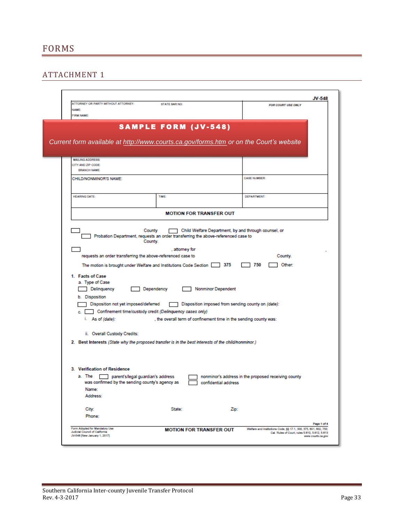#### <span id="page-32-1"></span><span id="page-32-0"></span>ATTACHMENT 1

| ATTORNEY OR PARTY WITHOUT ATTORNEY:<br><b>NAME:</b><br>FIRM NAME:                                                                                                                                                                                                                                                                                                            | <b>STATE BAR NO:</b>                                                                              |                                                                                 | FOR COURT USE ONLY                                  |
|------------------------------------------------------------------------------------------------------------------------------------------------------------------------------------------------------------------------------------------------------------------------------------------------------------------------------------------------------------------------------|---------------------------------------------------------------------------------------------------|---------------------------------------------------------------------------------|-----------------------------------------------------|
| Current form available at http://www.courts.ca.gov/forms.htm or on the Court's website                                                                                                                                                                                                                                                                                       | <b>SAMPLE FORM (JV-548)</b>                                                                       |                                                                                 |                                                     |
| <b>MAILING ADDRESS</b><br>CITY AND ZIP CODE:<br><b>BRANCH NAME:</b>                                                                                                                                                                                                                                                                                                          |                                                                                                   |                                                                                 |                                                     |
| CHILD/NONMINOR'S NAME:                                                                                                                                                                                                                                                                                                                                                       |                                                                                                   |                                                                                 | <b>CASE NUMBER:</b>                                 |
| <b>HEARING DATE:</b>                                                                                                                                                                                                                                                                                                                                                         | TIME.                                                                                             |                                                                                 | <b>DEPARTMENT:</b>                                  |
|                                                                                                                                                                                                                                                                                                                                                                              | <b>MOTION FOR TRANSFER OUT</b>                                                                    |                                                                                 |                                                     |
| requests an order transferring the above-referenced case to<br>The motion is brought under Welfare and Institutions Code Section 375<br>1. Facts of Case<br>a. Type of Case<br>Delinquency<br>b. Disposition<br>Disposition not yet imposed/deferred<br>Confinement time/custody credit (Delinquency cases only)<br>c. F<br>i. As of (date):<br>ii. Overall Custody Credits: | , attorney for<br>Dependency<br>, the overall term of confinement time in the sending county was: | <b>Nonminor Dependent</b><br>Disposition imposed from sending county on (date): | County.<br>750<br>Other:                            |
| 2. Best Interests (State why the proposed transfer is in the best interests of the child/nonminor.)                                                                                                                                                                                                                                                                          |                                                                                                   |                                                                                 |                                                     |
| 3. Verification of Residence<br>a. The<br>parent's/legal guardian's address<br>was confirmed by the sending county's agency as<br>Name:<br>Address:                                                                                                                                                                                                                          |                                                                                                   | confidential address                                                            | nonminor's address in the proposed receiving county |
| City:<br>Phone:                                                                                                                                                                                                                                                                                                                                                              | State:                                                                                            | Zip:                                                                            |                                                     |
|                                                                                                                                                                                                                                                                                                                                                                              |                                                                                                   |                                                                                 | Page 1 of 4                                         |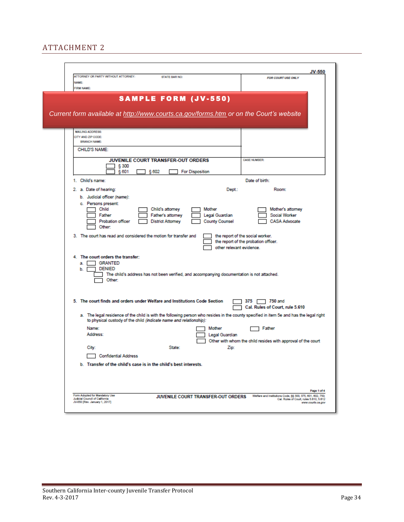#### <span id="page-33-0"></span>ATTACHMENT 2

<span id="page-33-1"></span>

|                                                                                                                                                                                                                                | <b>JV-550</b>                                                                                                                             |
|--------------------------------------------------------------------------------------------------------------------------------------------------------------------------------------------------------------------------------|-------------------------------------------------------------------------------------------------------------------------------------------|
| ATTORNEY OR PARTY WITHOUT ATTORNEY:<br><b>STATE BAR NO:</b><br><b>NAME</b>                                                                                                                                                     | FOR COURT USE ONLY                                                                                                                        |
| <b>FIRM NAME:</b><br><b>SAMPLE FORM (JV-550)</b>                                                                                                                                                                               |                                                                                                                                           |
| Current form available at http://www.courts.ca.gov/forms.htm or on the Court's website                                                                                                                                         |                                                                                                                                           |
| <b>MAILING ADDRESS</b><br>CITY AND ZIP CODE:<br><b>BRANCH NAME:</b>                                                                                                                                                            |                                                                                                                                           |
| CHILD'S NAME:                                                                                                                                                                                                                  |                                                                                                                                           |
| JUVENILE COURT TRANSFER-OUT ORDERS<br>§ 300<br>§ 601<br>§ 602<br><b>For Disposition</b>                                                                                                                                        | <b>CASE NUMBER:</b>                                                                                                                       |
| 1. Child's name:                                                                                                                                                                                                               | Date of birth:                                                                                                                            |
| 2. a. Date of hearing:<br>Dept:                                                                                                                                                                                                | Room:                                                                                                                                     |
| b. Judicial officer (name):<br>c. Persons present:<br>Child<br>Child's attorney<br>Mother<br>Father<br>Legal Guardian<br>Father's attorney<br>Probation officer<br><b>District Attorney</b><br><b>County Counsel</b><br>Other: | Mother's attorney<br><b>Social Worker</b><br><b>CASA Advocate</b>                                                                         |
| 3. The court has read and considered the motion for transfer and<br>other relevant evidence.                                                                                                                                   | the report of the social worker.<br>the report of the probation officer.                                                                  |
| 4. The court orders the transfer:<br>GRANTED<br>а. Г<br><b>DENIED</b><br>Ъ.<br>The child's address has not been verified, and accompanying documentation is not attached.<br>Other:                                            |                                                                                                                                           |
| 5. The court finds and orders under Welfare and Institutions Code Section                                                                                                                                                      | 375 F<br>$\Box$ 750 and<br>Cal. Rules of Court, rule 5.610                                                                                |
| a. The legal residence of the child is with the following person who resides in the county specified in item 5e and has the legal right<br>to physical custody of the child (indicate name and relationship):                  |                                                                                                                                           |
| Name:<br>Mother<br>Address:<br>Legal Guardian                                                                                                                                                                                  | Father<br>Other with whom the child resides with approval of the court                                                                    |
| City:<br>State:<br>Zip:<br><b>Confidential Address</b>                                                                                                                                                                         |                                                                                                                                           |
| b. Transfer of the child's case is in the child's best interests.                                                                                                                                                              |                                                                                                                                           |
| Form Adopted for Mandatory Use<br>JUVENILE COURT TRANSFER-OUT ORDERS<br><b>Judicial Council of California</b><br>JV-550 [Rev. January 1, 2017]                                                                                 | Page 1 of 4<br>Welfare and Institutions Code, §§ 300, 375, 601, 602, 750,<br>Cal. Rules of Court, rules 5.610, 5.612<br>www.courts.ca.gov |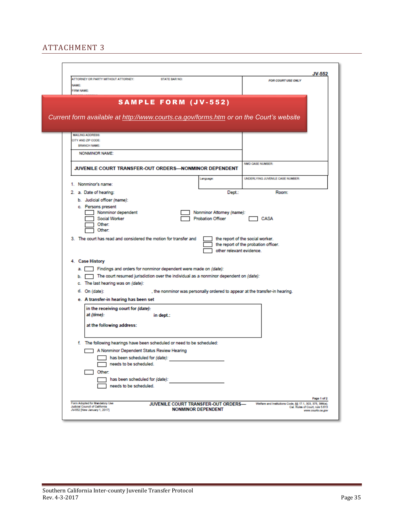#### ATTACHMENT 3

|                                                                                                         | ATTORNEY OR PARTY WITHOUT ATTORNEY:                                                                    | <b>STATE BAR NO:</b>                                                                                                                                             |                                                                  |                                                                                        | JV-552                                               |
|---------------------------------------------------------------------------------------------------------|--------------------------------------------------------------------------------------------------------|------------------------------------------------------------------------------------------------------------------------------------------------------------------|------------------------------------------------------------------|----------------------------------------------------------------------------------------|------------------------------------------------------|
| <b>NAME:</b><br><b>FIRM NAME</b>                                                                        |                                                                                                        |                                                                                                                                                                  |                                                                  | FOR COURT USE ONLY                                                                     |                                                      |
|                                                                                                         |                                                                                                        | <b>SAMPLE FORM (JV-552)</b>                                                                                                                                      |                                                                  | Current form available at http://www.courts.ca.gov/forms.htm or on the Court's website |                                                      |
|                                                                                                         |                                                                                                        |                                                                                                                                                                  |                                                                  |                                                                                        |                                                      |
| <b>MAILING ADDRESS</b><br>CITY AND ZIP CODE:<br><b>BRANCH NAME:</b>                                     |                                                                                                        |                                                                                                                                                                  |                                                                  |                                                                                        |                                                      |
| <b>NONMINOR NAME:</b>                                                                                   |                                                                                                        |                                                                                                                                                                  |                                                                  |                                                                                        |                                                      |
|                                                                                                         |                                                                                                        | JUVENILE COURT TRANSFER-OUT ORDERS-NONMINOR DEPENDENT                                                                                                            |                                                                  | NMD CASE NUMBER:                                                                       |                                                      |
| 1. Nonminor's name:                                                                                     |                                                                                                        |                                                                                                                                                                  | Language:                                                        | UNDERLYING JUVENILE CASE NUMBER:                                                       |                                                      |
| 2. a. Date of hearing:<br>b. Judicial officer (name):                                                   |                                                                                                        |                                                                                                                                                                  | Dept.:                                                           | Room:                                                                                  |                                                      |
| c. Persons present                                                                                      | Nonminor dependent<br>Social Worker<br>Other:<br>Other:                                                |                                                                                                                                                                  | Nonminor Attorney (name):<br><b>Probation Officer</b>            | CASA                                                                                   |                                                      |
|                                                                                                         |                                                                                                        | 3. The court has read and considered the motion for transfer and                                                                                                 | other relevant evidence.                                         | the report of the social worker.<br>the report of the probation officer.               |                                                      |
| 4. Case History                                                                                         | c. The last hearing was on (date):                                                                     | a. Findings and orders for nonminor dependent were made on (date):<br>$b.$ The court resumed jurisdiction over the individual as a nonminor dependent on (date): |                                                                  |                                                                                        |                                                      |
| d. On (date):                                                                                           | e. A transfer-in hearing has been set                                                                  |                                                                                                                                                                  |                                                                  | , the nonminor was personally ordered to appear at the transfer-in hearing.            |                                                      |
| at (time):                                                                                              | in the receiving court for (date):<br>at the following address:                                        | in dept.:                                                                                                                                                        |                                                                  |                                                                                        |                                                      |
|                                                                                                         | A Nonminor Dependent Status Review Hearing<br>has been scheduled for (date):<br>needs to be scheduled. | f. The following hearings have been scheduled or need to be scheduled:                                                                                           |                                                                  |                                                                                        |                                                      |
| Other:                                                                                                  | has been scheduled for (date):<br>needs to be scheduled.                                               |                                                                                                                                                                  |                                                                  |                                                                                        | Page 1 of 2                                          |
| Form Adopted for Mandelory Use<br><b>Judicial Council of California</b><br>JV-552 [New Jenuary 1, 2017] |                                                                                                        |                                                                                                                                                                  | JUVENILE COURT TRANSFER-OUT ORDERS-<br><b>NONMINOR DEPENDENT</b> | Welfare and Institutions Code, §§ 17.1, 303, 375, 388(e);                              | Cal. Rules of Court, rule 5.613<br>www.courts.ca.gov |